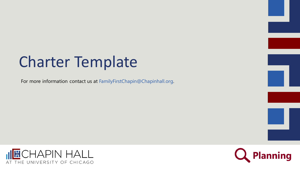# Charter Template

For more information contact us at FamilyFirstChapin@Chapinhall.org.



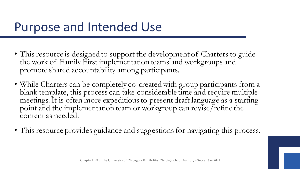#### Purpose and Intended Use

- This resource is designed to support the development of Charters to guide the work of Family First implementation teams and workgroups and promote shared accountability among participants.
- While Charters can be completely co-created with group participants from a blank template, this process can take considerable time and require multiple meetings. It is often more expeditious to present draft language as a starting point and the implementation team or workgroup can revise/refine the content as needed.
- This resource provides guidance and suggestions for navigating this process.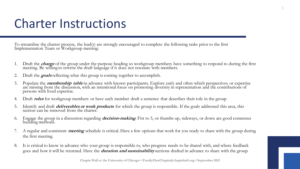#### Charter Instructions

To streamline the charter process, the lead(s) are strongly encouraged to complete the following tasks prior to the first Implementation Team or Workgroup meeting:

- 1. Draft the **charge** of the group under the purpose heading so workgroup members have something to respond to during the first meeting. Be willing to rewrite the draft language if it does not resonate with members.
- 2. Draft the **goals** reflecting what this group is coming together to accomplish.
- 3. Populate the **membership table** in advance with known participants. Explore early and often which perspectives or expertise are missing from the discussion, with an intentional focus on promoting diversity in representation and the contributions of persons with lived expertise.
- 4. Draft **roles** for workgroup members or have each member draft a sentence that describes their role in the group.
- 5. Identify and draft **deliverables or work products** for which the group is responsible. If the goals addressed this area, this section can be removed from the charter.
- 6. Engage the group in a discussion regarding **decision-making**. Fist to 5, or thumbs up, sideways, or down are good consensus building methods.
- 7. A regular and consistent **meeting** schedule is critical. Have a few options that work for you ready to share with the group during the first meeting.
- 8. It is critical to know in advance who your group is responsible to, who progress needs to be shared with, and where feedback goes and how it will be returned. Have the **duration and sustainability** sections drafted in advance to share with the group.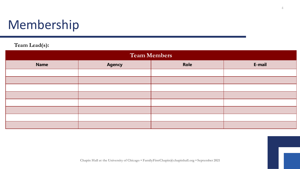# Membership

#### **Team Lead(s):**

| <b>Team Members</b> |               |      |        |
|---------------------|---------------|------|--------|
| <b>Name</b>         | <b>Agency</b> | Role | E-mail |
|                     |               |      |        |
|                     |               |      |        |
|                     |               |      |        |
|                     |               |      |        |
|                     |               |      |        |
|                     |               |      |        |
|                     |               |      |        |
|                     |               |      |        |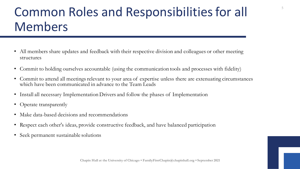# Common Roles and Responsibilities for all Members

5

- All members share updates and feedback with their respective division and colleagues or other meeting structures
- Commit to holding ourselves accountable (using the communication tools and processes with fidelity)
- Commit to attend all meetings relevant to your area of expertise unless there are extenuating circumstances which have been communicated in advance to the Team Leads
- Install all necessary Implementation Drivers and follow the phases of Implementation
- Operate transparently
- Make data-based decisions and recommendations
- Respect each other's ideas, provide constructive feedback, and have balanced participation
- Seek permanent sustainable solutions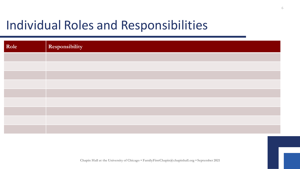# Individual Roles and Responsibilities

| Role | Responsibility |
|------|----------------|
|      |                |
|      |                |
|      |                |
|      |                |
|      |                |
|      |                |
|      |                |
|      |                |
|      |                |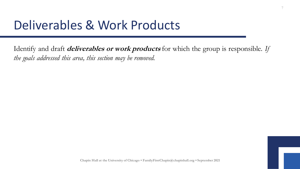### Deliverables & Work Products

Identify and draft **deliverables or work products** for which the group is responsible. *If the goals addressed this area, this section may be removed.*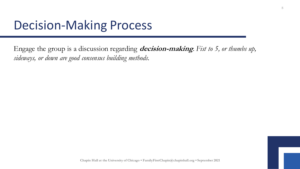#### Decision-Making Process

Engage the group is a discussion regarding **decision-making**. *Fist to 5, or thumbs up, sideways, or down are good consensus building methods.* 

8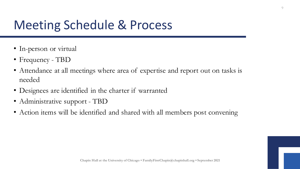# Meeting Schedule & Process

- In-person or virtual
- Frequency TBD
- Attendance at all meetings where area of expertise and report out on tasks is needed
- Designees are identified in the charter if warranted
- Administrative support TBD
- Action items will be identified and shared with all members post convening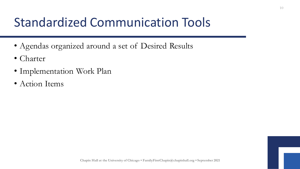# Standardized Communication Tools

- Agendas organized around a set of Desired Results
- Charter
- Implementation Work Plan
- Action Items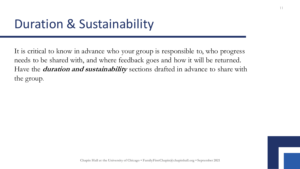### Duration & Sustainability

It is critical to know in advance who your group is responsible to, who progress needs to be shared with, and where feedback goes and how it will be returned. Have the **duration and sustainability** sections drafted in advance to share with the group.